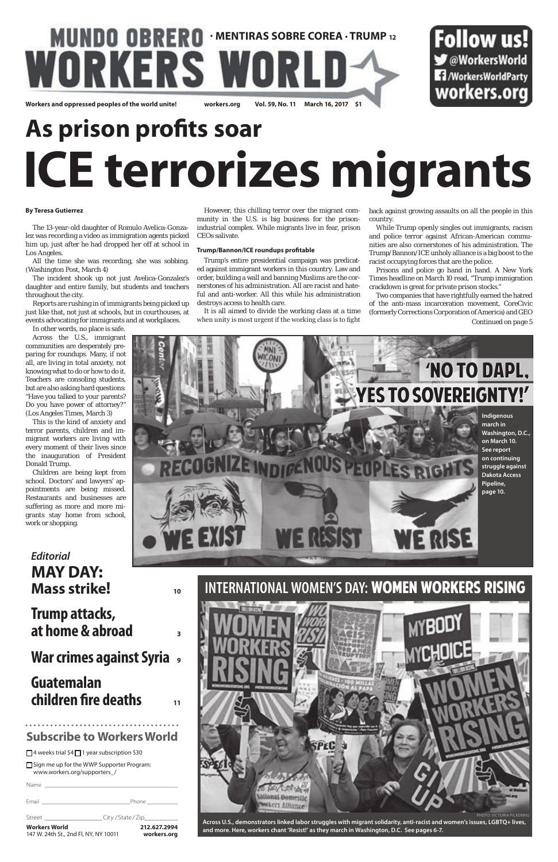### **INTERNATIONAL WOMEN'S DAY:** WOMEN WORKERS RISING

□ Sign me up for the WWP Supporter Program: www.workers.org/supporters\_/

### **MUNDO OBRERO · MENTIRAS SOBRE COREA · TRUMP 12** WORKERS W **Workers and oppressed peoples of the world unite! workers.org Vol. 59, No. 11 March 16, 2017 \$1**

### Follow us! **◆ @WorkersWorld T** /WorkersWorldParty workers.org

| <b>Workers World</b><br>147 W. 24th St., 2nd Fl, NY, NY 10011 | 212.627.2994<br>workers.org                                                                                                                                                                                                                                                                                  |
|---------------------------------------------------------------|--------------------------------------------------------------------------------------------------------------------------------------------------------------------------------------------------------------------------------------------------------------------------------------------------------------|
| Street <b>Street</b>                                          | City/State/Zip__________                                                                                                                                                                                                                                                                                     |
| Fmail                                                         | Phone the control of the control of the control of the control of the control of the control of the control of the control of the control of the control of the control of the control of the control of the control of the co<br>the control of the control of the control of the control of the control of |
| Name                                                          | <u> 1980 - Andrea Andrew Maria (h. 1980).</u>                                                                                                                                                                                                                                                                |



### **Subscribe to Workers World**

 $\Box$ 4 weeks trial \$4 $\Box$ 1 year subscription \$30

# **As prison profits soar ICE terrorizes migrants**

### **By Teresa Gutierrez**

The 13-year-old daughter of Romulo Avelica-Gonzalez was recording a video as immigration agents picked him up, just after he had dropped her off at school in Los Angeles.

All the time she was recording, she was sobbing. (Washington Post, March 4)

The incident shook up not just Avelica-Gonzalez's daughter and entire family, but students and teachers throughout the city.

Reports are rushing in of immigrants being picked up just like that, not just at schools, but in courthouses, at events advocating for immigrants and at workplaces.

In other words, no place is safe. Across the U.S., immigrant communities are desperately preparing for roundups. Many, if not all, are living in total anxiety, not knowing what to do or how to do it. Teachers are consoling students, but are also asking hard questions: "Have you talked to your parents? Do you have power of attorney?" (Los Angeles Times, March 3)

This is the kind of anxiety and terror parents, children and immigrant workers are living with every moment of their lives since the inauguration of President Donald Trump.

*Continued on page 5* Two companies that have rightfully earned the hatred of the anti-mass incarceration movement, CoreCivic (formerly Corrections Corporation of America) and GEO

Children are being kept from school. Doctors' and lawyers' appointments are being missed. Restaurants and businesses are suffering as more and more migrants stay home from school, work or shopping.

However, this chilling terror over the migrant community in the U.S. is big business for the prisonindustrial complex. While migrants live in fear, prison CEOs salivate.

### **Trump/Bannon/ICE roundups profitable**

Trump's entire presidential campaign was predicated against immigrant workers in this country. Law and order, building a wall and banning Muslims are the cornerstones of his administration. All are racist and hateful and anti-worker. All this while his administration destroys access to health care.

It is all aimed to divide the working class at a time when unity is most urgent if the working class is to fight

back against growing assaults on all the people in this country.

While Trump openly singles out immigrants, racism and police terror against African-American communities are also cornerstones of his administration. The Trump/Bannon/ICE unholy alliance is a big boost to the racist occupying forces that are the police.

Prisons and police go hand in hand. A New York Times headline on March 10 read, "Trump immigration crackdown is great for private prison stocks."

PHOTO: VICTORIA PICKERING



**Across U.S., demonstrators linked labor struggles with migrant solidarity, anti-racist and women's issues, LGBTQ+ lives, and more. Here, workers chant 'Resist!' as they march in Washington, D.C. See pages 6-7.**

### *Editorial* **MAY DAY: Mass strike! <sup>10</sup>**

### **Trump attacks, at home & abroad <sup>3</sup>**

### **War crimes against Syria <sup>9</sup>**

### **Guatemalan children fire deaths <sup>11</sup>**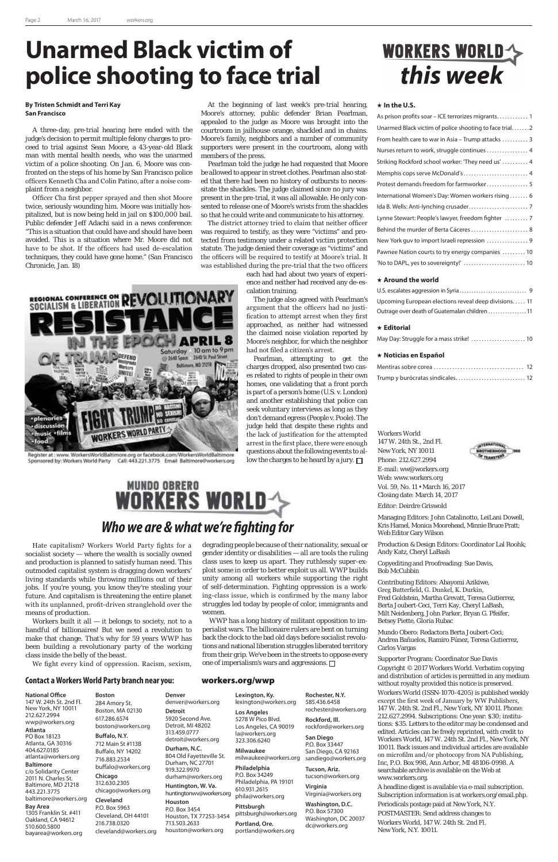### **Contact a Workers World Party branch near you:** workers.org/wwp

# **WORKERS WORLD** *Who we are & what we're fighting for*

Workers built it all  $-$  it belongs to society, not to a handful of billionaires! But we need a revolution to

Hate capitalism? Workers World Party fights for a socialist society — where the wealth is socially owned and production is planned to satisfy human need. This outmoded capitalist system is dragging down workers' living standards while throwing millions out of their jobs. If you're young, you know they're stealing your future. And capitalism is threatening the entire planet with its unplanned, profit-driven stranglehold over the means of production.

struggles led today by people of color, immigrants and women. WWP has a long history of militant opposition to imperialist wars. The billionaire rulers are bent on turning back the clock to the bad old days before socialist revolutions and national liberation struggles liberated territory from their grip. We've been in the streets to oppose every one of imperialism's wars and aggressions.  $\Box$ 

# WORKERS WORLD

make that change. That's why for 59 years WWP has been building a revolutionary party of the working class inside the belly of the beast.

We fight every kind of oppression. Racism, sexism,



### **National Office**

147 W. 24th St. 2nd Fl. New York, NY 10011 212.627.2994 wwp@workers.org **Atlanta** PO Box 18123 Atlanta, GA 30316 404.627.0185 atlanta@workers.org

#### **Baltimore**

c/o Solidarity Center 2011 N. Charles St. Baltimore, MD 21218 443.221.3775 baltimore@workers.org

### **Bay Area**

1305 Franklin St. #411 Oakland, CA 94612 510.600.5800 bayarea@workers.org **Boston** 284 Amory St. Boston, MA 02130 617.286.6574 boston@workers.org **Buffalo, N.Y.** 712 Main St #113B Buffalo, NY 14202 716.883.2534 buffalo@workers.org **Chicago** 312.630.2305 chicago@workers.org **Cleveland** P.O. Box 5963 Cleveland, OH 44101 216.738.0320 **Denver Detroit** 313.459.0777 **Houston**

cleveland@workers.org

denver@workers.org 5920 Second Ave. Detroit, MI 48202 detroit@workers.org **Durham, N.C.** 804 Old Fayetteville St. Durham, NC 27701 919.322.9970 durham@workers.org **Huntington, W. Va.** huntingtonwv@workers.org P.O. Box 3454 Houston, TX 77253-3454 713.503.2633 houston@workers.org **Lexington, Ky.** lexington@workers.org **Los Angeles** 5278 W Pico Blvd. Los Angeles, CA 90019 la@workers.org 323.306.6240 **Milwaukee** milwaukee@workers.org **Philadelphia** P.O. Box 34249 Philadelphia, PA 19101 610.931.2615 phila@workers.org **Pittsburgh** pittsburgh@workers.org **Portland, Ore.** portland@workers.org

**Rochester, N.Y.** 585.436.6458 rochester@workers.org **Rockford, Ill.**

rockford@workers.org **San Diego** P.O. Box 33447 San Diego, CA 92163 sandiego@workers.org

**Tucson, Ariz.** tucson@workers.org **Virginia** 

Virginia@workers.org

**Washington, D.C.** P.O. Box 57300 Washington, DC 20037 dc@workers.org

### **In the U.S.**

| As prison profits soar – ICE terrorizes migrants 1     |
|--------------------------------------------------------|
| Unarmed Black victim of police shooting to face trial2 |
| From health care to war in Asia - Trump attacks  3     |
| Nurses return to work, struggle continues  4           |
| Striking Rockford school worker: 'They need us'  4     |
| Memphis cops serve McDonald's  4                       |
| Protest demands freedom for farmworker 5               |
| International Women's Day: Women workers rising  6     |
|                                                        |
| Lynne Stewart: People's lawyer, freedom fighter  7     |
| Behind the murder of Berta Cáceres 8                   |
| New York guv to import Israeli repression  9           |
| Pawnee Nation courts to try energy companies  10       |
| 'No to DAPL, yes to sovereignty!'  10                  |

#### **Around the world**

| Upcoming European elections reveal deep divisions 11 |  |
|------------------------------------------------------|--|
| Outrage over death of Guatemalan children  11        |  |

#### **Editorial**

Pearlman, attempting to get the charges dropped, also presented two cases related to rights of people in their own homes, one validating that a front porch is part of a person's home (U.S. v. London) and another establishing that police can seek voluntary interviews as long as they don't demand egress (People v. Poole). The judge held that despite these rights and the lack of justification for the attempted arrest in the first place, there were enough questions about the following events to allow the charges to be heard by a jury.  $\Box$ 

### **Noticias en Español**

Workers World 147 W. 24th St., 2nd Fl. New York, NY 10011 Phone: 212.627.2994 E-mail: ww@workers.org Web: www.workers.org Vol. 59, No. 11 • March 16, 2017 Closing date: March 14, 2017

Editor: Deirdre Griswold

Managing Editors: John Catalinotto, LeiLani Dowell, Kris Hamel, Monica Moorehead, Minnie Bruce Pratt; Web Editor Gary Wilson

Production & Design Editors: Coordinator Lal Roohk; Andy Katz, Cheryl LaBash

Copyediting and Proofreading: Sue Davis, Bob McCubbin

Contributing Editors: Abayomi Azikiwe, Greg Butterfield, G. Dunkel, K. Durkin, Fred Goldstein, Martha Grevatt, Teresa Gutierrez, Berta Joubert-Ceci, Terri Kay, Cheryl LaBash, Milt Neidenberg, John Parker, Bryan G. Pfeifer, Betsey Piette, Gloria Rubac

Mundo Obero: Redactora Berta Joubert-Ceci; Andrea Bañuelos, Ramiro Fúnez, Teresa Gutierrez, Carlos Vargas



### Supporter Program: Coordinator Sue Davis

Copyright © 2017 Workers World. Verbatim copying and distribution of articles is permitted in any medium without royalty provided this notice is preserved. Workers World (ISSN-1070-4205) is published weekly except the first week of January by WW Publishers, 147 W. 24th St. 2nd Fl., New York, NY 10011. Phone: 212.627.2994. Subscriptions: One year: \$30; institutions: \$35. Letters to the editor may be condensed and edited. Articles can be freely reprinted, with credit to Workers World, 147 W. 24th St. 2nd Fl., New York, NY 10011. Back issues and individual articles are available on microfilm and/or photocopy from NA Publishing, Inc, P.O. Box 998, Ann Arbor, MI 48106-0998. A searchable archive is available on the Web at www.workers.org.

A headline digest is available via e-mail subscription. Subscription information is at workers.org/email.php.

Periodicals postage paid at New York, N.Y. POSTMASTER: Send address changes to Workers World, 147 W. 24th St. 2nd Fl. New York, N.Y. 10011.

## **Unarmed Black victim of police shooting to face trial**

### **By Tristen Schmidt and Terri Kay San Francisco**

A three-day, pre-trial hearing here ended with the judge's decision to permit multiple felony charges to proceed to trial against Sean Moore, a 43-year-old Black man with mental health needs, who was the unarmed victim of a police shooting. On Jan. 6, Moore was confronted on the steps of his home by San Francisco police officers Kenneth Cha and Colin Patino, after a noise complaint from a neighbor.

Officer Cha first pepper sprayed and then shot Moore twice, seriously wounding him. Moore was initially hospitalized, but is now being held in jail on \$100,000 bail. Public defender Jeff Adachi said in a news conference: "This is a situation that could have and should have been avoided. This is a situation where Mr. Moore did not have to be shot. If the officers had used de-escalation techniques, they could have gone home." (San Francisco Chronicle, Jan. 18)



Sponsored by: Workers World Party Call: 443.221.3775 Email Baltimore@workers.org

At the beginning of last week's pre-trial hearing, Moore's attorney, public defender Brian Pearlman, appealed to the judge as Moore was brought into the courtroom in jailhouse orange, shackled and in chains. Moore's family, neighbors and a number of community supporters were present in the courtroom, along with members of the press.

Pearlman told the judge he had requested that Moore be allowed to appear in street clothes. Pearlman also stated that there had been no history of outbursts to necessitate the shackles. The judge claimed since no jury was present in the pre-trial, it was all allowable. He only consented to release one of Moore's wrists from the shackles so that he could write and communicate to his attorney.

The district attorney tried to claim that neither officer was required to testify, as they were "victims" and protected from testimony under a related victim protection statute. The judge denied their coverage as "victims" and the officers will be required to testify at Moore's trial. It was established during the pre-trial that the two officers

each had had about two years of experience and neither had received any de-escalation training.

The judge also agreed with Pearlman's argument that the officers had no justification to attempt arrest when they first approached, as neither had witnessed the claimed noise violation reported by Moore's neighbor, for which the neighbor had not filed a citizen's arrest.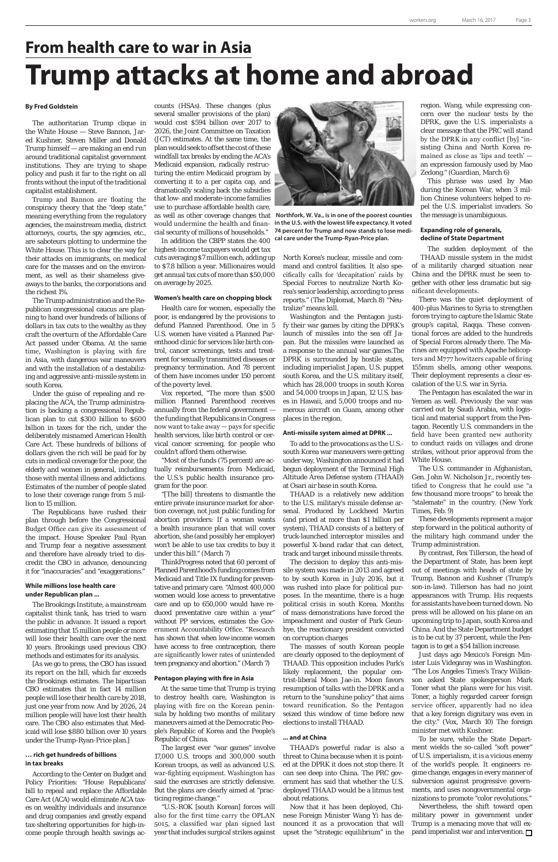## **From health care to war in Asia Trump attacks at home and abroad**

#### **By Fred Goldstein**

The authoritarian Trump clique in the White House — Steve Bannon, Jared Kushner, Steven Miller and Donald Trump himself — are making an end run around traditional capitalist government institutions. They are trying to shape policy and push it far to the right on all fronts without the input of the traditional capitalist establishment.

Trump and Bannon are floating the conspiracy theory that the "deep state," meaning everything from the regulatory agencies, the mainstream media, district attorneys, courts, the spy agencies, etc., are saboteurs plotting to undermine the White House. This is to clear the way for their attacks on immigrants, on medical care for the masses and on the environment, as well as their shameless giveaways to the banks, the corporations and the richest 1%.

The Trump administration and the Republican congressional caucus are planning to hand over hundreds of billions of dollars in tax cuts to the wealthy as they craft the overturn of the Affordable Care Act passed under Obama. At the same time, Washington is playing with fire in Asia, with dangerous war maneuvers and with the installation of a destabilizing and aggressive anti-missile system in south Korea.

Under the guise of repealing and replacing the ACA, the Trump administration is backing a congressional Republican plan to cut \$300 billion to \$600 billion in taxes for the rich, under the deliberately misnamed American Health Care Act. These hundreds of billions of dollars given the rich will be paid for by cuts in medical coverage for the poor, the elderly and women in general, including those with mental illness and addictions. Estimates of the number of people slated to lose their coverage range from 5 million to 15 million.

The Republicans have rushed their plan through before the Congressional Budget Office can give its assessment of the impact. House Speaker Paul Ryan and Trump fear a negative assessment and therefore have already tried to discredit the CBO in advance, denouncing it for "inaccuracies" and "exaggerations."

### **While millions lose health care under Republican plan ...**

The Brookings Institute, a mainstream capitalist think tank, has tried to warn the public in advance. It issued a report estimating that 15 million people or more will lose their health care over the next 10 years. Brookings used previous CBO methods and estimates for its analysis. [As we go to press, the CBO has issued its report on the bill, which far exceeds the Brookings estimates. The bipartisan CBO estimates that in fact 14 million people will lose their health care by 2018, just one year from now. And by 2026, 24 million people will have lost their health care. The CBO also estimates that Medicaid will lose \$880 billion over 10 years under the Trump-Ryan-Price plan.]

### **… rich get hundreds of billions in tax breaks**

According to the Center on Budget and Policy Priorities: "House Republicans' bill to repeal and replace the Affordable Care Act (ACA) would eliminate ACA taxes on wealthy individuals and insurance and drug companies and greatly expand tax-sheltering opportunities for high-income people through health savings accounts (HSAs). These changes (plus several smaller provisions of the plan) would cost \$594 billion over 2017 to 2026, the Joint Committee on Taxation (JCT) estimates. At the same time, the plan would seek to offset the cost of these windfall tax breaks by ending the ACA's Medicaid expansion, radically restructuring the entire Medicaid program by converting it to a per capita cap, and dramatically scaling back the subsidies that low- and moderate-income families use to purchase affordable health care, as well as other coverage changes that would undermine the health and financial security of millions of households."

In addition the CBPP states the 400 highest-income taxpayers would get tax cuts averaging \$7 million each, adding up to \$7.8 billion a year. Millionaires would get annual tax cuts of more than \$50,000 on average by 2025.

### **Women's health care on chopping block**

Health care for women, especially the poor, is endangered by the provisions to defund Planned Parenthood. One in 5 U.S. women have visited a Planned Parenthood clinic for services like birth control, cancer screenings, tests and treatment for sexually transmitted diseases or pregnancy termination. And 78 percent of them have incomes under 150 percent of the poverty level.

Vox reported, "The more than \$500 million Planned Parenthood receives annually from the federal government the funding that Republicans in Congress now want to take away — pays for specific health services, like birth control or cervical cancer screening, for people who couldn't afford them otherwise.

"Most of the funds (75 percent) are actually reimbursements from Medicaid, the U.S.'s public health insurance program for the poor.

"[The bill] threatens to dismantle the entire private insurance market for abortion coverage, not just public funding for abortion providers: If a woman wants a health insurance plan that will cover abortion, she (and possibly her employer) won't be able to use tax credits to buy it under this bill." (March 7)

ThinkProgress noted that 60 percent of Planned Parenthood's funding comes from Medicaid and Title IX funding for preventative and primary care. "Almost 400,000 women would lose access to preventative care and up to 650,000 would have reduced preventative care within a year" without PP services, estimates the Government Accountability Office. "Research has shown that when low-income women have access to free contraception, there are significantly lower rates of unintended teen pregnancy and abortion." (March 7)

### **Pentagon playing with fire in Asia**

At the same time that Trump is trying to destroy health care, Washington is playing with fire on the Korean peninsula by holding two months of military maneuvers aimed at the Democratic People's Republic of Korea and the People's Republic of China.

> Nevertheless, the shift toward open military power in government under Trump is a menacing move that will expand imperialist war and intervention.  $\Box$

The largest ever "war games" involve 17,000 U.S. troops and 300,000 south Korean troops, as well as advanced U.S. war-fighting equipment. Washington has said the exercises are strictly defensive. But the plans are clearly aimed at "practicing regime change."

"U.S.-ROK [south Korean] forces will also for the first time carry the OPLAN 5015, a classified war plan signed last year that includes surgical strikes against North Korea's nuclear, missile and command and control facilities. It also specifically calls for 'decapitation' raids by Special Forces to neutralize North Korea's senior leadership, according to press reports." (The Diplomat, March 8) "Neutralize" means kill.

Washington and the Pentagon justify their war games by citing the DPRK's launch of missiles into the sea off Japan. But the missiles were launched as a response to the annual war games.The DPRK is surrounded by hostile states, including imperialist Japan, U.S. puppet south Korea, and the U.S. military itself, which has 28,000 troops in south Korea and 54,000 troops in Japan, 12 U.S. bases in Hawaii, and 5,000 troops and numerous aircraft on Guam, among other places in the region.

#### **Anti-missile system aimed at DPRK ...**

To add to the provocations as the U.S. south Korea war maneuvers were getting under way, Washington announced it had begun deployment of the Terminal High Altitude Area Defense system (THAAD) at Osari air base in south Korea.

THAAD is a relatively new addition to the U.S. military's missile defense arsenal. Produced by Lockheed Martin (and priced at more than \$1 billion per system), THAAD consists of a battery of truck-launched interceptor missiles and powerful X-band radar that can detect, track and target inbound missile threats.

The decision to deploy this anti-missile system was made in 2013 and agreed to by south Korea in July 2016, but it was rushed into place for political purposes. In the meantime, there is a huge political crisis in south Korea. Months of mass demonstrations have forced the impeachment and ouster of Park Geunhye, the reactionary president convicted

on corruption charges

The masses of south Korean people are clearly opposed to the deployment of THAAD. This opposition includes Park's likely replacement, the popular centrist-liberal Moon Jae-in. Moon favors resumption of talks with the DPRK and a return to the "sunshine policy" that aims toward reunification. So the Pentagon seized this window of time before new elections to install THAAD.

### **... and at China**

THAAD's powerful radar is also a threat to China because when it is pointed at the DPRK it does not stop there. It can see deep into China. The PRC government has said that whether the U.S. deployed THAAD would be a litmus test about relations.

Now that it has been deployed, Chinese Foreign Minister Wang Yi has denounced it as a provocation that will upset the "strategic equilibrium" in the

region. Wang, while expressing concern over the nuclear tests by the DPRK, gave the U.S. imperialists a clear message that the PRC will stand by the DPRK in any conflict [by] "insisting China and North Korea remained as close as 'lips and teeth' an expression famously used by Mao Zedong." (Guardian, March 6)

This phrase was used by Mao during the Korean War, when 3 million Chinese volunteers helped to repel the U.S. imperialist invaders. So the message is unambiguous.

### **Expanding role of generals, decline of State Department**

The sudden deployment of the THAAD missile system in the midst of a militarily charged situation near China and the DPRK must be seen together with other less dramatic but significant developments.

There was the quiet deployment of 400-plus Marines to Syria to strengthen forces trying to capture the Islamic State group's capital, Raqqa. These conventional forces are added to the hundreds of Special Forces already there. The Marines are equipped with Apache helicopters and M777 howitzers capable of firing 155mm shells, among other weapons. Their deployment represents a clear escalation of the U.S. war in Syria.

The Pentagon has escalated the war in Yemen as well. Previously the war was carried out by Saudi Arabia, with logistical and material support from the Pentagon. Recently U.S. commanders in the field have been granted new authority to conduct raids on villages and drone strikes, without prior approval from the White House.

The U.S. commander in Afghanistan, Gen. John W. Nicholson Jr., recently testified to Congress that he could use "a few thousand more troops" to break the "stalemate" in the country. (New York Times, Feb. 9)

These developments represent a major step forward in the political authority of the military high command under the Trump administration.

By contrast, Rex Tillerson, the head of the Department of State, has been kept out of meetings with heads of state by Trump, Bannon and Kushner (Trump's son-in-law). Tillerson has had no joint appearances with Trump. His requests for assistants have been turned down. No press will be allowed on his plane on an upcoming trip to Japan, south Korea and China. And the State Department budget

is to be cut by 37 percent, while the Pentagon is to get a \$54 billion increase.

Just days ago Mexico's Foreign Minister Luis Videgaray was in Washington. "The Los Angeles Times's Tracy Wilkinson asked State spokesperson Mark Toner what the plans were for his visit. Toner, a highly regarded career foreign service officer, apparently had no idea that a key foreign dignitary was even in the city." (Vox, March 10) The foreign minister met with Kushner.

To be sure, while the State Department wields the so-called "soft power" of U.S. imperialism, it is a vicious enemy of the world's people. It engineers regime change, engages in every manner of subversion against progressive governments, and uses nongovernmental organizations to promote "color revolutions."



 **Northfork, W. Va., is in one of the poorest counties in the U.S. with the lowest life expectancy. It voted 74 percent for Trump and now stands to lose medical care under the Trump-Ryan-Price plan.**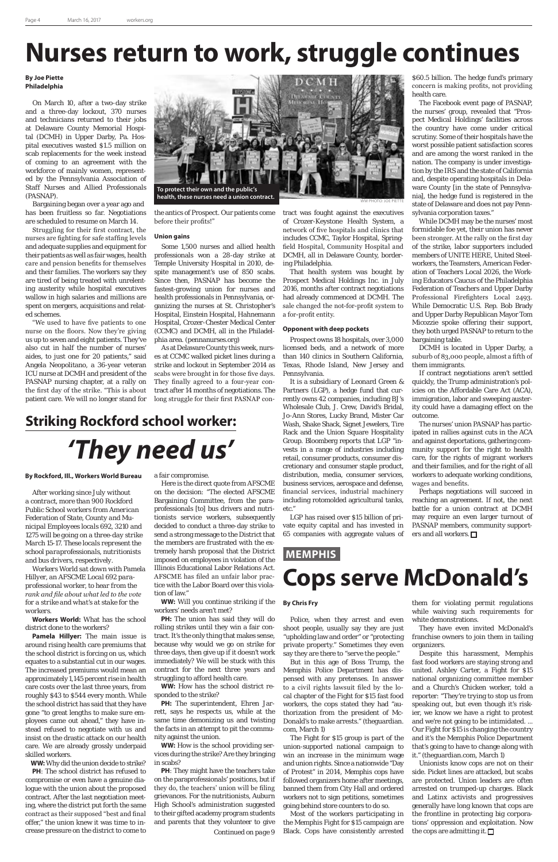# **Nurses return to work, struggle continues**

WW PHOTO: JOE PIETTE

## **Striking Rockford school worker:**

### *'They need us'*

### **MEMPHIS Cops serve McDonald's**

### **By Joe Piette Philadelphia**

On March 10, after a two-day strike and a three-day lockout, 370 nurses and technicians returned to their jobs at Delaware County Memorial Hospital (DCMH) in Upper Darby, Pa. Hospital executives wasted \$1.5 million on scab replacements for the week instead of coming to an agreement with the workforce of mainly women, represented by the Pennsylvania Association of Staff Nurses and Allied Professionals (PASNAP).

Bargaining began over a year ago and has been fruitless so far. Negotiations are scheduled to resume on March 14.

Struggling for their first contract, the nurses are fighting for safe staffing levels and adequate supplies and equipment for their patients as well as fair wages, health care and pension benefits for themselves and their families. The workers say they are tired of being treated with unrelenting austerity while hospital executives wallow in high salaries and millions are spent on mergers, acquisitions and related schemes.

"We used to have five patients to one nurse on the floors. Now they're giving us up to seven and eight patients. They've also cut in half the number of nurses' aides, to just one for 20 patients," said Angela Neopolitano, a 36-year veteran ICU nurse at DCMH and president of the PASNAP nursing chapter, at a rally on the first day of the strike. "This is about patient care. We will no longer stand for the antics of Prospect. Our patients come before their profits!"

### **Union gains**

Some 1,500 nurses and allied health professionals won a 28-day strike at Temple University Hospital in 2010, despite management's use of 850 scabs. Since then, PASNAP has become the fastest-growing union for nurses and health professionals in Pennsylvania, organizing the nurses at St. Christopher's Hospital, Einstein Hospital, Hahnemann Hospital, Crozer-Chester Medical Center (CCMC) and DCMH, all in the Philadelphia area. (pennanurses.org)

As at Delaware County this week, nurses at CCMC walked picket lines during a strike and lockout in September 2014 as scabs were brought in for those five days. They finally agreed to a four-year contract after 14 months of negotiations. The long struggle for their first PASNAP contract was fought against the executives of Crozer-Keystone Health System, a network of five hospitals and clinics that includes CCMC, Taylor Hospital, Springfield Hospital, Community Hospital and DCMH, all in Delaware County, bordering Philadelphia.

That health system was bought by Prospect Medical Holdings Inc. in July 2016, months after contract negotiations had already commenced at DCMH. The sale changed the not-for-profit system to a for-profit entity.

> Perhaps negotiations will succeed in reaching an agreement. If not, the next battle for a union contract at DCMH may require an even larger turnout of PASNAP members, community supporters and all workers.  $\Box$

### **Opponent with deep pockets**

Prospect owns 18 hospitals, over 3,000 licensed beds, and a network of more than 140 clinics in Southern California, Texas, Rhode Island, New Jersey and Pennsylvania.

It is a subsidiary of Leonard Green & Partners (LGP), a hedge fund that currently owns 42 companies, including BJ's Wholesale Club, J. Crew, David's Bridal, Jo-Ann Stores, Lucky Brand, Mister Car Wash, Shake Shack, Signet Jewelers, Tire Rack and the Union Square Hospitality Group. Bloomberg reports that LGP "invests in a range of industries including retail, consumer products, consumer discretionary and consumer staple product, distribution, media, consumer services, business services, aerospace and defense, financial services, industrial machinery including rotomolded agricultural tanks, etc."

LGP has raised over \$15 billion of private equity capital and has invested in 65 companies with aggregate values of

\$60.5 billion. The hedge fund's primary concern is making profits, not providing health care.

The Facebook event page of PASNAP, the nurses' group, revealed that "Prospect Medical Holdings' facilities across the country have come under critical scrutiny. Some of their hospitals have the worst possible patient satisfaction scores and are among the worst ranked in the nation. The company is under investigation by the IRS and the state of California and, despite operating hospitals in Delaware County [in the state of Pennsylvania], the hedge fund is registered in the state of Delaware and does not pay Pennsylvania corporation taxes."

**PH:** The union has said they will do rolling strikes until they win a fair contract. It's the only thing that makes sense, because why would we go on strike for three days, then give up if it doesn't work immediately? We will be stuck with this contract for the next three years and struggling to afford health care.

While DCMH may be the nurses' most formidable foe yet, their union has never been stronger. At the rally on the first day of the strike, labor supporters included members of UNITE HERE, United Steelworkers, the Teamsters, American Federation of Teachers Local 2026, the Working Educators Caucus of the Philadelphia Federation of Teachers and Upper Darby Professional Firefighters Local 2493. While Democratic U.S. Rep. Bob Brady and Upper Darby Republican Mayor Tom Micozzie spoke offering their support, they both urged PASNAP to return to the bargaining table.

DCMH is located in Upper Darby, a suburb of 83,000 people, almost a fifth of them immigrants.

If contract negotiations aren't settled quickly, the Trump administration's policies on the Affordable Care Act (ACA), immigration, labor and sweeping austerity could have a damaging effect on the outcome.

Unionists know cops are not on their side. Picket lines are attacked, but scabs are protected. Union leaders are often arrested on trumped-up charges. Black and Latinx activists and progressives generally have long known that cops are the frontline in protecting big corporations' oppression and exploitation. Now the cops are admitting it.  $\Box$ 

The nurses' union PASNAP has participated in rallies against cuts in the ACA and against deportations, gathering community support for the right to health care, for the rights of migrant workers and their families, and for the right of all workers to adequate working conditions, wages and benefits.

### **By Rockford, Ill., Workers World Bureau**

*After working since July without a contract, more than 900 Rockford Public School workers from American Federation of State, County and Municipal Employees locals 692, 3210 and 1275 will be going on a three-day strike March 15-17. These locals represent the school paraprofessionals, nutritionists and bus drivers, respectively.*

*Workers World sat down with Pamela Hillyer, an AFSCME Local 692 paraprofessional worker, to hear from the rank and file about what led to the vote for a strike and what's at stake for the workers.*

**Workers World:** What has the school district done to the workers?

**Pamela Hillyer:** The main issue is around rising health care premiums that the school district is forcing on us, which equates to a substantial cut in our wages. The increased premiums would mean an approximately 1,145 percent rise in health care costs over the last three years, from roughly \$43 to \$544 every month. While the school district has said that they have gone "to great lengths to make sure employees came out ahead," they have instead refused to negotiate with us and insist on the drastic attack on our health care. We are already grossly underpaid skilled workers.

**WW:** Why did the union decide to strike?

**PH**: The school district has refused to compromise or even have a genuine dialogue with the union about the proposed contract. After the last negotiation meeting, where the district put forth the same contract as their supposed "best and final offer," the union knew it was time to increase pressure on the district to come to

### a fair compromise.

Here is the direct quote from AFSCME on the decision: "The elected AFSCME Bargaining Committee, from the paraprofessionals [to] bus drivers and nutritionists service workers, subsequently decided to conduct a three-day strike to send a strong message to the District that the members are frustrated with the extremely harsh proposal that the District imposed on employees in violation of the Illinois Educational Labor Relations Act. AFSCME has filed an unfair labor practice with the Labor Board over this violation of law."

**WW:** Will you continue striking if the workers' needs aren't met?

**WW:** How has the school district responded to the strike?

**PH:** The superintendent, Ehren Jarrett, says he respects us, while at the same time demonizing us and twisting the facts in an attempt to pit the community against the union.

**WW:** How is the school providing services during the strike? Are they bringing in scabs?

### **By Chris Fry**

Police, when they arrest and even shoot people, usually say they are just

"upholding law and order" or "protecting private property." Sometimes they even say they are there to "serve the people."

But in this age of Boss Trump, the Memphis Police Department has dispensed with any pretenses. In answer to a civil rights lawsuit filed by the local chapter of the Fight for \$15 fast food workers, the cops stated they had "authorization from the president of Mc-Donald's to make arrests." (theguardian. com, March 1)

The Fight for \$15 group is part of the union-supported national campaign to win an increase in the minimum wage and union rights. Since a nationwide "Day of Protest" in 2014, Memphis cops have followed organizers home after meetings, banned them from City Hall and ordered workers not to sign petitions, sometimes going behind store counters to do so.

**PH**: They might have the teachers take on the paraprofessionals' positions, but if they do, the teachers' union will be filing grievances. For the nutritionists, Auburn High School's administration suggested to their gifted academy program students and parents that they volunteer to give *Continued on page 9*

Most of the workers participating in the Memphis Fight for \$15 campaign are Black. Cops have consistently arrested

them for violating permit regulations while waiving such requirements for white demonstrations.

They have even invited McDonald's

franchise owners to join them in tailing organizers.

Despite this harassment, Memphis fast food workers are staying strong and united. Ashley Carter, a Fight for \$15 national organizing committee member and a Church's Chicken worker, told a reporter: "They're trying to stop us from speaking out, but even though it's riskier, we know we have a right to protest and we're not going to be intimidated. ... Our Fight for \$15 is changing the country and it's the Memphis Police Department that's going to have to change along with it." (theguardian.com, March 1)

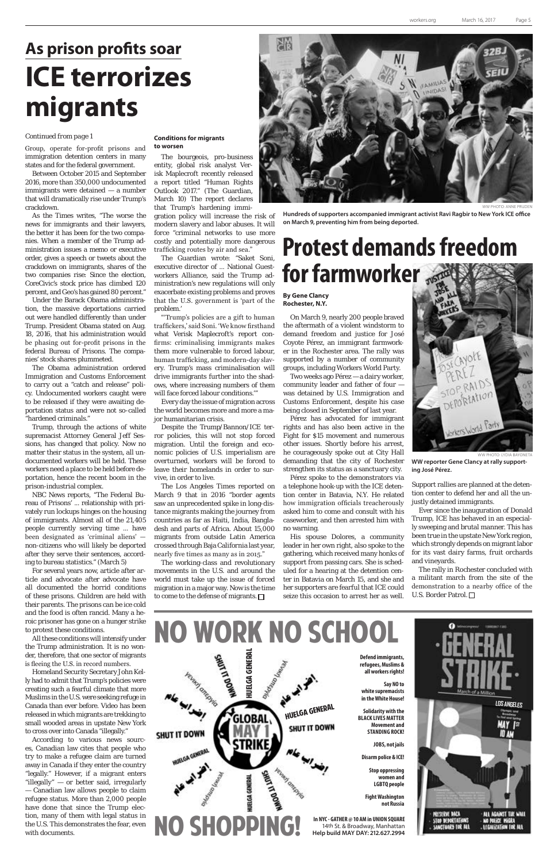# **As prison profits soar ICE terrorizes migrants**

### **Protest demands freedom for farmworker**

Group, operate for-profit prisons and immigration detention centers in many states and for the federal government.

Between October 2015 and September 2016, more than 350,000 undocumented immigrants were detained — a number that will dramatically rise under Trump's crackdown.

As the Times writes, "The worse the news for immigrants and their lawyers, the better it has been for the two companies. When a member of the Trump administration issues a memo or executive order, gives a speech or tweets about the crackdown on immigrants, shares of the two companies rise: Since the election, CoreCivic's stock price has climbed 120 percent, and Geo's has gained 80 percent."

Under the Barack Obama administration, the massive deportations carried out were handled differently than under Trump. President Obama stated on Aug. 18, 2016, that his administration would be phasing out for-profit prisons in the federal Bureau of Prisons. The companies' stock shares plummeted.

The Obama administration ordered Immigration and Customs Enforcement to carry out a "catch and release" policy. Undocumented workers caught were to be released if they were awaiting deportation status and were not so-called "hardened criminals."

Trump, through the actions of white supremacist Attorney General Jeff Sessions, has changed that policy. Now no matter their status in the system, all undocumented workers will be held. These workers need a place to be held before deportation, hence the recent boom in the prison-industrial complex.

NBC News reports, "The Federal Bureau of Prisons' ... relationship with privately run lockups hinges on the housing of immigrants. Almost all of the 21,405 people currently serving time ... have been designated as 'criminal aliens' non-citizens who will likely be deported after they serve their sentences, according to bureau statistics." (March 5)

The working-class and revolutionary movements in the U.S. and around the world must take up the issue of forced migration in a major way. Now is the time to come to the defense of migrants.  $\Box$ 

For several years now, article after article and advocate after advocate have all documented the horrid conditions of these prisons. Children are held with their parents. The prisons can be ice cold and the food is often rancid. Many a heroic prisoner has gone on a hunger strike to protest these conditions. All these conditions will intensify under the Trump administration. It is no wonder, therefore, that one sector of migrants is fleeing the U.S. in record numbers. Homeland Security Secretary John Kelly had to admit that Trump's policies were creating such a fearful climate that more Muslims in the U.S. were seeking refuge in Canada than ever before. Video has been released in which migrants are trekking to small wooded areas in upstate New York to cross over into Canada "illegally." According to various news sources, Canadian law cites that people who try to make a refugee claim are turned away in Canada if they enter the country "legally." However, if a migrant enters "illegally" — or better said, irregularly — Canadian law allows people to claim refugee status. More than 2,000 people have done that since the Trump election, many of them with legal status in the U.S. This demonstrates the fear, even with documents.

### **Conditions for migrants to worsen**

The bourgeois, pro-business entity, global risk analyst Verisk Maplecroft recently released a report titled "Human Rights Outlook 2017." (The Guardian, March 10) The report declares that Trump's hardening immi-

gration policy will increase the risk of modern slavery and labor abuses. It will force "criminal networks to use more costly and potentially more dangerous trafficking routes by air and sea."

The Guardian wrote: "Saket Soni, executive director of ... National Guestworkers Alliance, said the Trump administration's new regulations will only exacerbate existing problems and proves that the U.S. government is 'part of the problem.'

"'Trump's policies are a gift to human traffickers,' said Soni. 'We know firsthand what Verisk Maplecroft's report confirms: criminalising immigrants makes them more vulnerable to forced labour, human trafficking, and modern-day slavery. Trump's mass criminalisation will drive immigrants further into the shadows, where increasing numbers of them will face forced labour conditions.'"

Every day the issue of migration across the world becomes more and more a major humanitarian crisis.

Despite the Trump/Bannon/ICE terror policies, this will not stop forced migration. Until the foreign and economic policies of U.S. imperialism are overturned, workers will be forced to leave their homelands in order to survive, in order to live.

The Los Angeles Times reported on March 9 that in 2016 "border agents saw an unprecedented spike in long-distance migrants making the journey from countries as far as Haiti, India, Bangladesh and parts of Africa. About 15,000 migrants from outside Latin America crossed through Baja California last year, nearly five times as many as in 2015."

### *Continued from page 1*

### **By Gene Clancy Rochester, N.Y.**

On March 9, nearly 200 people braved the aftermath of a violent windstorm to demand freedom and justice for José Coyote Pérez, an immigrant farmworker in the Rochester area. The rally was supported by a number of community groups, including Workers World Party.

Two weeks ago Pérez — a dairy worker, community leader and father of four was detained by U.S. Immigration and Customs Enforcement, despite his case being closed in September of last year.

Pérez has advocated for immigrant rights and has also been active in the Fight for \$15 movement and numerous other issues. Shortly before his arrest, he courageously spoke out at City Hall demanding that the city of Rochester strengthen its status as a sanctuary city.

Pérez spoke to the demonstrators via a telephone hook-up with the ICE detention center in Batavia, N.Y. He related how immigration officials treacherously asked him to come and consult with his caseworker, and then arrested him with no warning.

His spouse Dolores, a community leader in her own right, also spoke to the gathering, which received many honks of support from passing cars. She is scheduled for a hearing at the detention center in Batavia on March 15, and she and her supporters are fearful that ICE could seize this occasion to arrest her as well.



WW PHOTO: LYDIA BAYONETA **WW reporter Gene Clancy at rally supporting José Pérez.**

Support rallies are planned at the detention center to defend her and all the unjustly detained immigrants.

Ever since the inauguration of Donald Trump, ICE has behaved in an especially sweeping and brutal manner. This has been true in the upstate New York region, which strongly depends on migrant labor for its vast dairy farms, fruit orchards and vineyards.

The rally in Rochester concluded with a militant march from the site of the demonstration to a nearby office of the U.S. Border Patrol.





WW PHOTO: ANNE PRUDEN

**Hundreds of supporters accompanied immigrant activist Ravi Ragbir to New York ICE office on March 9, preventing him from being deported.**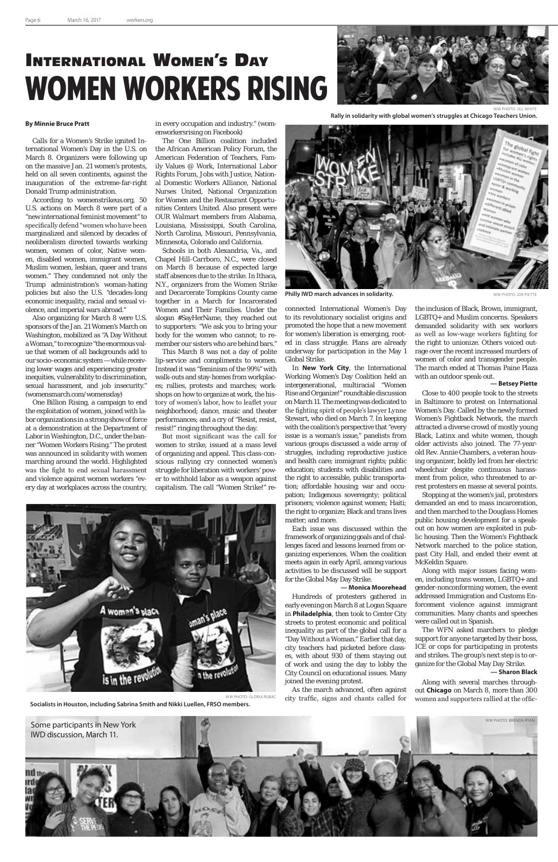# International Women's Day WOMEN WORKERS RISING



Calls for a Women's Strike ignited International Women's Day in the U.S. on March 8. Organizers were following up on the massive Jan. 21 women's protests, held on all seven continents, against the inauguration of the extreme-far-right Donald Trump administration.

According to womenstrikeus.org, 50 U.S. actions on March 8 were part of a "new international feminist movement" to specifically defend "women who have been marginalized and silenced by decades of neoliberalism directed towards working women, women of color, Native women, disabled women, immigrant women, Muslim women, lesbian, queer and trans women." They condemned not only the Trump administration's woman-hating policies but also the U.S. "decades-long economic inequality, racial and sexual violence, and imperial wars abroad."

Also organizing for March 8 were U.S. sponsors of the Jan. 21 Women's March on Washington, mobilized as "A Day Without a Woman," to recognize "the enormous value that women of all backgrounds add to our socio-economic system — while receiving lower wages and experiencing greater inequities, vulnerability to discrimination, sexual harassment, and job insecurity." (womensmarch.com/womensday)

One Billion Rising, a campaign to end the exploitation of women, joined with labor organizations in a strong show of force at a demonstration at the Department of Labor in Washington, D.C., under the banner "Women Workers Rising." The protest was announced in solidarity with women marching around the world. Highlighted was the fight to end sexual harassment and violence against women workers "every day at workplaces across the country,

in every occupation and industry." (womenworkersrising on Facebook)

The One Billion coalition included the African American Policy Forum, the American Federation of Teachers, Family Values @ Work, International Labor Rights Forum, Jobs with Justice, National Domestic Workers Alliance, National Nurses United, National Organization for Women and the Restaurant Opportunities Centers United. Also present were OUR Walmart members from Alabama, Louisiana, Mississippi, South Carolina, North Carolina, Missouri, Pennsylvania, Minnesota, Colorado and California.

Schools in both Alexandria, Va., and Chapel Hill-Carrboro, N.C., were closed on March 8 because of expected large staff absences due to the strike. In Ithaca, N.Y., organizers from the Women Strike and Decarcerate Tompkins County came together in a March for Incarcerated Women and Their Families. Under the slogan #SayHerName, they reached out to supporters: "We ask you to bring your body for the women who cannot; to remember our sisters who are behind bars."

This March 8 was not a day of polite lip-service and compliments to women. Instead it was "feminism of the 99%" with walk-outs and stay-homes from workplaces; rallies, protests and marches; workshops on how to organize at work, the history of women's labor, how to leaflet your neighborhood; dance, music and theater performances; and a cry of "Resist, resist, resist!" ringing throughout the day.

But most significant was the call for women to strike, issued at a mass level of organizing and appeal. This class-conscious rallying cry connected women's struggle for liberation with workers' power to withhold labor as a weapon against capitalism. The call "Women Strike!" re-





**Philly IWD march advances in solidarity.** WE ALL A SERVICE ON A WARD WANTED SEPTETTE

connected International Women's Day to its revolutionary socialist origins and promoted the hope that a new movement for women's liberation is emerging, rooted in class struggle. Plans are already underway for participation in the May 1 Global Strike.

In **New York City**, the International Working Women's Day Coalition held an intergenerational, multiracial "Women Rise and Organize!" roundtable discussion on March 11. The meeting was dedicated to the fighting spirit of people's lawyer Lynne Stewart, who died on March 7. In keeping with the coalition's perspective that "every issue is a woman's issue," panelists from various groups discussed a wide array of struggles, including reproductive justice and health care; immigrant rights; public education; students with disabilities and the right to accessible, public transportation; affordable housing; war and occupation; Indigenous sovereignty; political prisoners; violence against women; Haiti; the right to organize; Black and trans lives matter; and more.

Each issue was discussed within the framework of organizing goals and of challenges faced and lessons learned from organizing experiences. When the coalition meets again in early April, among various activities to be discussed will be support for the Global May Day Strike.

### **— Monica Moorehead**

Hundreds of protesters gathered in early evening on March 8 at Logan Square in **Philadelphia**, then took to Center City streets to protest economic and political inequality as part of the global call for a "Day Without a Woman." Earlier that day, city teachers had picketed before classes, with about 930 of them staying out of work and using the day to lobby the City Council on educational issues. Many joined the evening protest.

As the march advanced, often against city traffic, signs and chants called for

the inclusion of Black, Brown, immigrant, LGBTQ+ and Muslim concerns. Speakers demanded solidarity with sex workers as well as low-wage workers fighting for the right to unionize. Others voiced outrage over the recent increased murders of women of color and transgender people. The march ended at Thomas Paine Plaza with an outdoor speak-out.

### **— Betsey Piette**

Close to 400 people took to the streets in Baltimore to protest on International Women's Day. Called by the newly formed Women's Fightback Network, the march attracted a diverse crowd of mostly young Black, Latinx and white women, though older activists also joined. The 77-yearold Rev. Annie Chambers, a veteran housing organizer, boldly led from her electric wheelchair despite continuous harassment from police, who threatened to arrest protesters en masse at several points.

Stopping at the women's jail, protesters demanded an end to mass incarceration, and then marched to the Douglass Homes public housing development for a speakout on how women are exploited in public housing. Then the Women's Fightback Network marched to the police station, past City Hall, and ended their event at McKeldin Square.

Along with major issues facing women, including trans women, LGBTQ+ and gender-nonconforming women, the event addressed Immigration and Customs Enforcement violence against immigrant communities. Many chants and speeches were called out in Spanish.

The WFN asked marchers to pledge

support for anyone targeted by their boss, ICE or cops for participating in protests and strikes. The group's next step is to organize for the Global May Day Strike.

### **— Sharon Black**

Along with several marches throughout **Chicago** on March 8, more than 300 women and supporters rallied at the offic-

Some participants in New York **Some participants in New York** Server and the south of the south of the south of the south of the south of the south of the south of the south of the south of the south of the south of the so IWD discussion, March 11. NO th a



**Rally in solidarity with global women's struggles at Chicago Teachers Union.**

WW PHOTO: GLORIA RUBAC

**Socialists in Houston, including Sabrina Smith and Nikki Luellen, FRSO members.**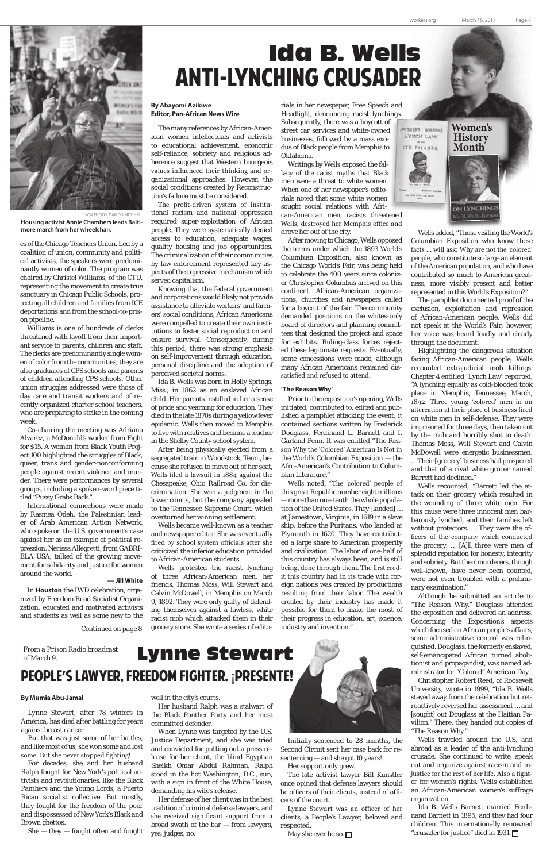### Ida B. Wells ANTI-LYNCHING CRUSADER

### **By Abayomi Azikiwe Editor, Pan-African News Wire**

The many references by African-American women intellectuals and activists to educational achievement, economic self-reliance, sobriety and religious adherence suggest that Western bourgeois values influenced their thinking and organizational approaches. However, the social conditions created by Reconstruction's failure must be considered.

The profit-driven system of institutional racism and national oppression required super-exploitation of African people. They were systematically denied access to education, adequate wages, quality housing and job opportunities. The criminalization of their communities by law enforcement represented key aspects of the repressive mechanism which served capitalism.

Knowing that the federal government and corporations would likely not provide assistance to alleviate workers' and farmers' social conditions, African Americans were compelled to create their own institutions to foster social reproduction and ensure survival. Consequently, during this period, there was strong emphasis on self-improvement through education, personal discipline and the adoption of perceived societal norms.

Ida B. Wells was born in Holly Springs, Miss., in 1862 as an enslaved African child. Her parents instilled in her a sense of pride and yearning for education. They died in the late 1870s during a yellow fever epidemic. Wells then moved to Memphis to live with relatives and became a teacher in the Shelby County school system.

After being physically ejected from a segregated train in Woodstock, Tenn., because she refused to move out of her seat, Wells filed a lawsuit in 1884 against the Chesapeake, Ohio Railroad Co. for discrimination. She won a judgment in the lower courts, but the company appealed to the Tennessee Supreme Court, which overturned her winning settlement.

Wells became well-known as a teacher and newspaper editor. She was eventually fired by school system officials after she criticized the inferior education provided to African-American students.

Wells protested the racist lynching of three African-American men, her friends, Thomas Moss, Will Stewart and Calvin McDowell, in Memphis on March 9, 1892. They were only guilty of defending themselves against a lawless, white racist mob which attacked them in their grocery store. She wrote a series of editorials in her newspaper, Free Speech and Headlight, denouncing racist lynchings. Subsequently, there was a boycott of street car services and white-owned businesses, followed by a mass exodus of Black people from Memphis to Oklahoma.

Writings by Wells exposed the fallacy of the racist myths that Black men were a threat to white women. When one of her newspaper's editorials noted that some white women sought social relations with African-American men, racists threatened Wells, destroyed her Memphis office and drove her out of the city.

After moving to Chicago, Wells opposed the terms under which the 1893 World's Columbian Exposition, also known as the Chicago World's Fair, was being held to celebrate the 400 years since colonizer Christopher Columbus arrived on this continent. African-American organizations, churches and newspapers called for a boycott of the fair. The community demanded positions on the whites-only board of directors and planning committees that designed the project and space for exhibits. Ruling-class forces rejected these legitimate requests. Eventually, some concessions were made, although many African Americans remained dissatisfied and refused to attend.

### **'The Reason Why'**

Prior to the exposition's opening, Wells initiated, contributed to, edited and published a pamphlet attacking the event; it contained sections written by Frederick Douglass, Ferdinand L. Barnett and I. Garland Penn. It was entitled "The Reason Why the 'Colored' American Is Not in the World's Columbian Exposition — the Afro-American's Contribution to Columbian Literature."

Wells noted, "The 'colored' people of this great Republic number eight millions — more than one-tenth the whole population of the United States. They [landed] … at Jamestown, Virginia, in 1619 in a slave ship, before the Puritans, who landed at Plymouth in 1620. They have contributed a large share to American prosperity and civilization. The labor of one-half of this country has always been, and is still being, done through them. The first credit this country had in its trade with foreign nations was created by productions resulting from their labor. The wealth created by their industry has made it possible for them to make the most of their progress in education, art, science, industry and invention."

Wells added, "Those visiting the World's Columbian Exposition who know these facts … will ask: Why are not the 'colored' people, who constitute so large an element of the American population, and who have contributed so much to American greatness, more visibly present and better represented in this World's Exposition?"

The pamphlet documented proof of the exclusion, exploitation and repression of African-American people. Wells did not speak at the World's Fair; however, her voice was heard loudly and clearly through the document.



WW PHOTO: DAMON MITCHELL **Housing activist Annie Chambers leads Baltimore march from her wheelchair.**

Highlighting the dangerous situation facing African-American people, Wells recounted extrajudicial mob killings. Chapter 4 entitled "Lynch Law" reported, "A lynching equally as cold-blooded took place in Memphis, Tennessee, March, 1892. Three young 'colored' men in an altercation at their place of business fired on white men in self-defense. They were imprisoned for three days, then taken out by the mob and horribly shot to death. Thomas Moss, Will Stewart and Calvin McDowell were energetic businessmen.

... Their [grocery] business had prospered and that of a rival white grocer named Barrett had declined."

Wells recounted, "Barrett led the attack on their grocery which resulted in the wounding of three white men. For this cause were three innocent men barbarously lynched, and their families left without protectors. … They were the officers of the company which conducted the grocery. … [A]ll three were men of splendid reputation for honesty, integrity and sobriety. But their murderers, though well-known, have never been counted, were not even troubled with a preliminary examination."

Although he submitted an article to "The Reason Why," Douglass attended the exposition and delivered an address. Concerning the Exposition's aspects which focused on African people's affairs, some administrative control was relinquished. Douglass, the formerly enslaved, self-emancipated African turned abolitionist and propagandist, was named administrator for "Colored" American Day. Christopher Robert Reed, of Roosevelt University, wrote in 1999, "Ida B. Wells stayed away from the celebration but retroactively reversed her assessment … and [sought] out Douglass at the Haitian Pavilion." There, they handed out copies of "The Reason Why." Wells traveled around the U.S. and abroad as a leader of the anti-lynching crusade. She continued to write, speak out and organize against racism and injustice for the rest of her life. Also a fighter for women's rights, Wells established an African-American women's suffrage organization. Ida B. Wells Barnett married Ferdinand Barnett in 1895, and they had four children. This internationally renowned "crusader for justice" died in 1931.



### Lynne Stewart People**'**s lawyer, freedom fighter. ¡presente!

### **By Mumia Abu-Jamal**

Lynne Stewart, after 78 winters in America, has died after battling for years against breast cancer.

But that was just some of her battles, and like most of us, she won some and lost some. But she never stopped fighting!

For decades, she and her husband Ralph fought for New York's political activists and revolutionaries, like the Black Panthers and the Young Lords, a Puerto Rican socialist collective. But mostly, they fought for the freedom of the poor and dispossessed of New York's Black and Brown ghettos.

She — they — fought often and fought

well in the city's courts.

Her husband Ralph was a stalwart of the Black Panther Party and her most committed defender.

When Lynne was targeted by the U.S. Justice Department, and she was tried and convicted for putting out a press release for her client, the blind Egyptian Sheikh Omar Abdul Rahman, Ralph stood in the hot Washington, D.C., sun, with a sign in front of the White House, demanding his wife's release.

Her defense of her client was in the best tradition of criminal defense lawyers, and she received significant support from a broad swath of the bar — from lawyers, yes; judges, no.



Initially sentenced to 28 months, the Second Circuit sent her case back for resentencing — and she got 10 years!

Her support only grew.

The late activist lawyer Bill Kunstler once opined that defense lawyers should be officers of their clients, instead of officers of the court.

Lynne Stewart was an officer of her clients; a People's Lawyer, beloved and respected.

May she ever be so.  $\Box$ 

### *From a Prison Radio broadcast of March 9.*

es of the Chicago Teachers Union. Led by a coalition of union, community and political activists, the speakers were predominantly women of color. The program was chaired by Christel Williams, of the CTU, representing the movement to create true sanctuary in Chicago Public Schools, protecting all children and families from ICE deportations and from the school-to-prison pipeline.

Williams is one of hundreds of clerks threatened with layoff from their important service to parents, children and staff. The clerks are predominantly single women of color from the communities; they are also graduates of CPS schools and parents of children attending CPS schools. Other union struggles addressed were those of day care and transit workers and of recently organized charter school teachers, who are preparing to strike in the coming week.

Co-chairing the meeting was Adriana Alvarez, a McDonald's worker from Fight for \$15. A woman from Black Youth Project 100 highlighted the struggles of Black, queer, trans and gender-nonconforming people against recent violence and murder. There were performances by several groups, including a spoken-word piece titled "Pussy Grabs Back."

International connections were made by Rasmea Odeh, the Palestinian leader of Arab American Action Network, who spoke on the U.S. government's case against her as an example of political repression. Nerissa Allegretti, from GABRI-ELA USA, talked of the growing movement for solidarity and justice for women around the world.

### **— Jill White**

In **Houston** the IWD celebration, organized by Freedom Road Socialist Organization, educated and motivated activists and students as well as some new to the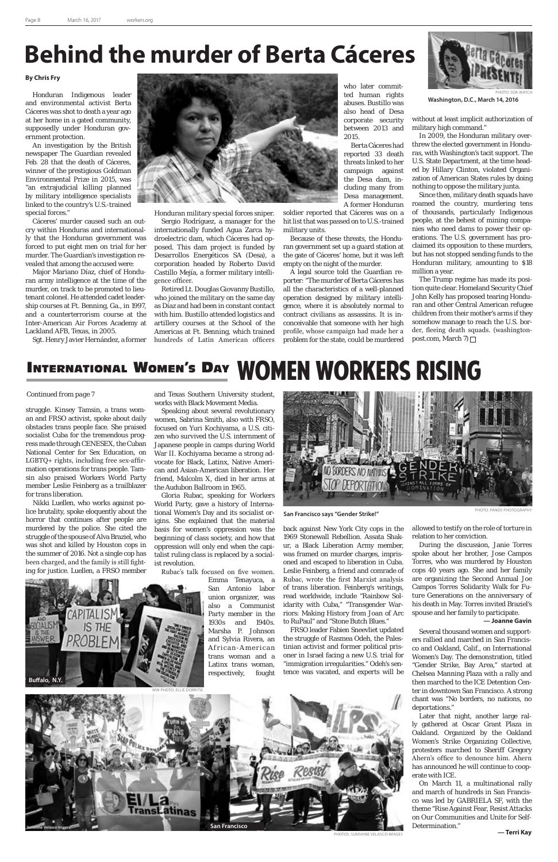### **Behind the murder of Berta Cáceres**

### **By Chris Fry**

Honduran Indigenous leader and environmental activist Berta Cáceres was shot to death a year ago at her home in a gated community, supposedly under Honduran government protection.

An investigation by the British newspaper The Guardian revealed Feb. 28 that the death of Cáceres, winner of the prestigious Goldman Environmental Prize in 2015, was "an extrajudicial killing planned by military intelligence specialists linked to the country's U.S.-trained special forces."

Cáceres' murder caused such an outcry within Honduras and internationally that the Honduran government was forced to put eight men on trial for her murder. The Guardian's investigation revealed that among the accused were:

Major Mariano Díaz, chief of Honduran army intelligence at the time of the murder, on track to be promoted to lieutenant colonel. He attended cadet leadership courses at Ft. Benning, Ga., in 1997, and a counterterrorism course at the Inter-American Air Forces Academy at Lackland AFB, Texas, in 2005.

Sgt. Henry Javier Hernández, a former



Honduran military special forces sniper. Sergio Rodríguez, a manager for the internationally funded Agua Zarca hydroelectric dam, which Cáceres had opposed. This dam project is funded by Desarrollos Energéticos SA (Desa), a corporation headed by Roberto David Castillo Mejía, a former military intelligence officer.

Retired Lt. Douglas Giovanny Bustillo, who joined the military on the same day as Díaz and had been in constant contact with him. Bustillo attended logistics and artillery courses at the School of the Americas at Ft. Benning, which trained hundreds of Latin American officers

The Trump regime has made its position quite clear. Homeland Security Chief John Kelly has proposed tearing Honduran and other Central American refugee children from their mother's arms if they somehow manage to reach the U.S. border, fleeing death squads. (washingtonpost.com, March 7) □

### **INTERNATIONAL WOMEN'S DAY WOMEN WORKERS RISING**

who later committed human rights abuses. Bustillo was also head of Desa corporate security between 2013 and 2015.

Berta Cáceres had reported 33 death threats linked to her campaign against the Desa dam, including many from Desa management. A former Honduran

soldier reported that Cáceres was on a hit list that was passed on to U.S.-trained military units.

Because of these threats, the Honduran government set up a guard station at the gate of Cáceres' home, but it was left empty on the night of the murder.

A legal source told the Guardian reporter: "The murder of Berta Cáceres has all the characteristics of a well-planned operation designed by military intelligence, where it is absolutely normal to contract civilians as assassins. It is inconceivable that someone with her high profile, whose campaign had made her a problem for the state, could be murdered

without at least implicit authorization of military high command."

In 2009, the Honduran military overthrew the elected government in Honduras, with Washington's tacit support. The U.S. State Department, at the time headed by Hillary Clinton, violated Organization of American States rules by doing nothing to oppose the military junta.

Since then, military death squads have roamed the country, murdering tens of thousands, particularly Indigenous people, at the behest of mining companies who need dams to power their operations. The U.S. government has proclaimed its opposition to these murders, but has not stopped sending funds to the Honduran military, amounting to \$18 million a year.

struggle. Kinsey Tamsin, a trans woman and FRSO activist, spoke about daily obstacles trans people face. She praised socialist Cuba for the tremendous progress made through CENESEX, the Cuban National Center for Sex Education, on LGBTQ+ rights, including free sex-affirmation operations for trans people. Tamsin also praised Workers World Party member Leslie Feinberg as a trailblazer for trans liberation.



**PHOTOS: SUNSHINE VELASCO IMAGES** 

Nikki Luellen, who works against police brutality, spoke eloquently about the horror that continues after people are murdered by the police. She cited the struggle of the spouse of Alva Braziel, who was shot and killed by Houston cops in the summer of 2016. Not a single cop has been charged, and the family is still fighting for justice. Luellen, a FRSO member and Texas Southern University student, works with Black Movement Media.

Speaking about several revolutionary women, Sabrina Smith, also with FRSO, focused on Yuri Kochiyama, a U.S. citizen who survived the U.S. internment of Japanese people in camps during World War II. Kochiyama became a strong advocate for Black, Latinx, Native American and Asian-American liberation. Her friend, Malcolm X, died in her arms at the Audubon Ballroom in 1965.

Gloria Rubac, speaking for Workers World Party, gave a history of International Women's Day and its socialist origins. She explained that the material basis for women's oppression was the beginning of class society, and how that oppression will only end when the capitalist ruling class is replaced by a socialist revolution.

Rubac's talk focused on five women.

Emma Tenayuca, a San Antonio labor union organizer, was also a Communist Party member in the 1930s and 1940s. Marsha P. Johnson and Sylvia Rivera, an A frican-American trans woman and a Latinx trans woman, respectively, fought



**Washington, D.C., March 14, 2016**

back against New York City cops in the 1969 Stonewall Rebellion. Assata Shakur, a Black Liberation Army member, was framed on murder charges, imprisoned and escaped to liberation in Cuba. Leslie Feinberg, a friend and comrade of Rubac, wrote the first Marxist analysis of trans liberation. Feinberg's writings, read worldwide, include "Rainbow Solidarity with Cuba," "Transgender Warriors: Making History from Joan of Arc to RuPaul" and "Stone Butch Blues."

FRSO leader Fabien Sneevliet updated

the struggle of Rasmea Odeh, the Palestinian activist and former political prisoner in Israel facing a new U.S. trial for "immigration irregularities." Odeh's sentence was vacated, and experts will be

### *Continued from page 7*

PHOTO: PANOS PHOTOGRAPHY



**San Francisco says "Gender Strike!"**

allowed to testify on the role of torture in relation to her conviction.

During the discussion, Janie Torres spoke about her brother, Jose Campos Torres, who was murdered by Houston cops 40 years ago. She and her family are organizing the Second Annual Joe Campos Torres Solidarity Walk for Future Generations on the anniversary of his death in May. Torres invited Braziel's spouse and her family to participate.

**— Joanne Gavin**

Several thousand women and support-

ers rallied and marched in San Francisco and Oakland, Calif., on International Women's Day. The demonstration, titled "Gender Strike, Bay Area," started at Chelsea Manning Plaza with a rally and then marched to the ICE Detention Center in downtown San Francisco. A strong chant was "No borders, no nations, no deportations."

Later that night, another large rally gathered at Oscar Grant Plaza in Oakland. Organized by the Oakland Women's Strike Organizing Collective, protesters marched to Sheriff Gregory Ahern's office to denounce him. Ahern has announced he will continue to cooperate with ICE.

On March 11, a multinational rally and march of hundreds in San Francisco was led by GABRIELA SF, with the theme "Rise Against Fear, Resist Attacks on Our Communities and Unite for Self-Determination."

**— Terri Kay**

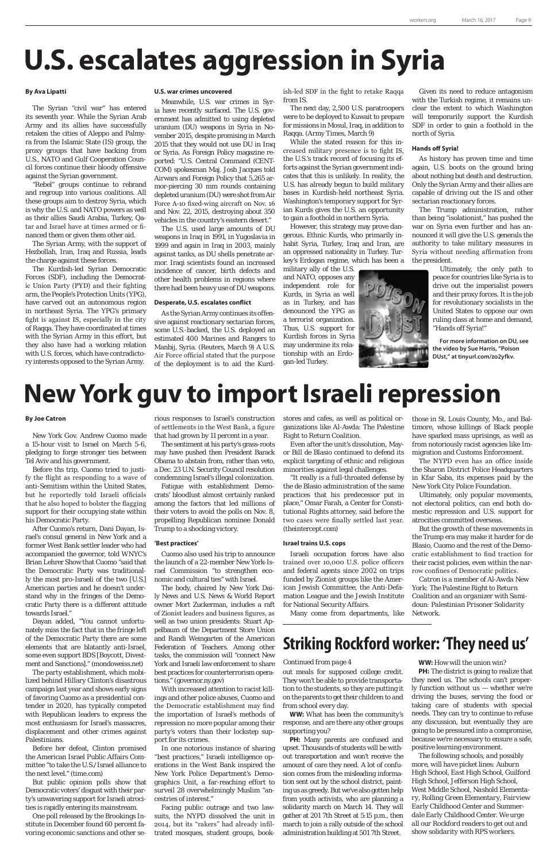# **U.S. escalates aggression in Syria**

# **New York guv to import Israeli repression**

### **By Ava Lipatti**

The Syrian "civil war" has entered its seventh year. While the Syrian Arab Army and its allies have successfully retaken the cities of Aleppo and Palmyra from the Islamic State (IS) group, the proxy groups that have backing from U.S., NATO and Gulf Cooperation Council forces continue their bloody offensive against the Syrian government.

"Rebel" groups continue to rebrand and regroup into various coalitions. All these groups aim to destroy Syria, which is why the U.S. and NATO powers as well as their allies Saudi Arabia, Turkey, Qatar and Israel have at times armed or financed them or given them other aid.

The Syrian Army, with the support of Hezbollah, Iran, Iraq and Russia, leads the charge against these forces.

The Kurdish-led Syrian Democratic Forces (SDF), including the Democratic Union Party (PYD) and their fighting arm, the People's Protection Units (YPG), have carved out an autonomous region in northeast Syria. The YPG's primary fight is against IS, especially in the city of Raqqa. They have coordinated at times with the Syrian Army in this effort, but they also have had a working relation with U.S. forces, which have contradictory interests opposed to the Syrian Army.

#### **U.S. war crimes uncovered**

Meanwhile, U.S. war crimes in Syria have recently surfaced. The U.S. government has admitted to using depleted uranium (DU) weapons in Syria in November 2015, despite promising in March 2015 that they would not use DU in Iraq or Syria. As Foreign Policy magazine reported: "U.S. Central Command (CENT-COM) spokesman Maj. Josh Jacques told Airwars and Foreign Policy that 5,265 armor-piercing 30 mm rounds containing depleted uranium (DU) were shot from Air Force A-10 fixed-wing aircraft on Nov. 16 and Nov. 22, 2015, destroying about 350 vehicles in the country's eastern desert."

The U.S. used large amounts of DU weapons in Iraq in 1991, in Yugoslavia in 1999 and again in Iraq in 2003, mainly against tanks, as DU shells penetrate armor. Iraqi scientists found an increased incidence of cancer, birth defects and other health problems in regions where there had been heavy use of DU weapons.

### **Desperate, U.S. escalates conflict**

As the Syrian Army continues its offensive against reactionary sectarian forces, some U.S.-backed, the U.S. deployed an estimated 400 Marines and Rangers to Manbij, Syria. (Reuters, March 9) A U.S. Air Force official stated that the purpose of the deployment is to aid the Kurdish-led SDF in the fight to retake Raqqa from IS.

The next day, 2,500 U.S. paratroopers were to be deployed to Kuwait to prepare for missions in Mosul, Iraq, in addition to Raqqa. (Army Times, March 9)

While the stated reason for this increased military presence is to fight IS, the U.S.'s track record of focusing its efforts against the Syrian government indicates that this is unlikely. In reality, the U.S. has already begun to build military bases in Kurdish-held northeast Syria. Washington's temporary support for Syrian Kurds gives the U.S. an opportunity to gain a foothold in northern Syria.

However, this strategy may prove dangerous. Ethnic Kurds, who primarily inhabit Syria, Turkey, Iraq and Iran, are an oppressed nationality in Turkey. Turkey's Erdogan regime, which has been a

military ally of the U.S. and NATO, opposes any independent role for Kurds, in Syria as well as in Turkey, and has denounced the YPG as a terrorist organization. Thus, U.S. support for Kurdish forces in Syria may undermine its relationship with an Erdogan-led Turkey.

Given its need to reduce antagonism with the Turkish regime, it remains unclear the extent to which Washington will temporarily support the Kurdish SDF in order to gain a foothold in the north of Syria.

### **Hands off Syria!**

As history has proven time and time again, U.S. boots on the ground bring about nothing but death and destruction. Only the Syrian Army and their allies are capable of driving out the IS and other sectarian reactionary forces.

The Trump administration, rather than being "isolationist," has pushed the war on Syria even further and has announced it will give the U.S. generals the authority to take military measures in Syria without needing affirmation from the president.

> Ultimately, the only path to peace for countries like Syria is to drive out the imperialist powers and their proxy forces. It is the job for revolutionary socialists in the United States to oppose our own ruling class at home and demand, "Hands off Syria!"

**For more information on DU, see the video by Sue Harris, "Poison DUst," at tinyurl.com/zo2yfkv.**

#### **By Joe Catron**

New York Gov. Andrew Cuomo made a 15-hour visit to Israel on March 5-6, pledging to forge stronger ties between Tel Aviv and his government.

Before ths trip, Cuomo tried to justify the flight as responding to a wave of anti-Semitism within the United States, but he reportedly told Israeli officials that he also hoped to bolster the flagging support for their occupying state within his Democratic Party.

After Cuomo's return, Dani Dayan, Israel's consul general in New York and a former West Bank settler leader who had accompanied the governor, told WNYC's Brian Lehrer Show that Cuomo "said that the Democratic Party was traditionally the most pro-Israeli of the two [U.S.] American parties and he doesn't understand why in the fringes of the Democratic Party there is a different attitude towards Israel."

> **PH:** The district is going to realize that they need us. The schools can't properly function without us — whether we're driving the buses, serving the food or taking care of students with special needs. They can try to continue to refuse any discussion, but eventually they are going to be pressured into a compromise, because we're necessary to ensure a safe, positive learning environment.

Dayan added, "You cannot unfortunately miss the fact that in the fringe left of the Democratic Party there are some elements that are blatantly anti-Israel, some even support BDS [Boycott, Divestment and Sanctions]." (mondoweiss.net)

The party establishment, which mobilized behind Hillary Clinton's disastrous campaign last year and shows early signs of favoring Cuomo as a presidential contender in 2020, has typically competed with Republican leaders to express the most enthusiasm for Israel's massacres, displacement and other crimes against Palestinians.

Before her defeat, Clinton promised the American Israel Public Affairs Committee "to take the U.S./Israel alliance to the next level." (time.com)

But public opinion polls show that Democratic voters' disgust with their party's unwavering support for Israeli atrocities is rapidly entering its mainstream.

One poll released by the Brookings Institute in December found 60 percent favoring economic sanctions and other serious responses to Israel's construction of settlements in the West Bank, a figure that had grown by 11 percent in a year.

The sentiment at his party's grass-roots may have pushed then President Barack Obama to abstain from, rather than veto, a Dec. 23 U.N. Security Council resolution condemning Israel's illegal colonization.

Fatigue with establishment Democrats' bloodlust almost certainly ranked among the factors that led millions of their voters to avoid the polls on Nov. 8, propelling Republican nominee Donald Trump to a shocking victory.

### **'Best practices'**

Cuomo also used his trip to announce the launch of a 22-member New York-Israel Commission "to strengthen economic and cultural ties" with Israel.

The body, chaired by New York Daily News and U.S. News & World Report owner Mort Zuckerman, includes a raft of Zionist leaders and business figures, as well as two union presidents: Stuart Appelbaum of the Department Store Union and Randi Weingarten of the American Federation of Teachers. Among other tasks, the commission will "connect New York and Israeli law enforcement to share best practices for counterterrorism operations." (governor.ny.gov) With increased attention to racist killings and other police abuses, Cuomo and the Democratic establishment may find the importation of Israel's methods of repression no more popular among their party's voters than their lockstep support for its crimes. In one notorious instance of sharing "best practices," Israeli intelligence operations in the West Bank inspired the New York Police Department's Demographics Unit, a far-reaching effort to surveil 28 overwhelmingly Muslim "ancestries of interest." Facing public outrage and two lawsuits, the NYPD dissolved the unit in 2014, but its "rakers" had already infiltrated mosques, student groups, bookstores and cafes, as well as political organizations like Al-Awda: The Palestine Right to Return Coalition.

Even after the unit's dissolution, Mayor Bill de Blasio continued to defend its explicit targeting of ethnic and religious minorities against legal challenges.

"It really is a full-throated defense by the de Blasio administration of the same practices that his predecessor put in place," Omar Farah, a Center for Constitutional Rights attorney, said before the two cases were finally settled last year. (theintercept.com)

#### **Israel trains U.S. cops**

Israeli occupation forces have also trained over 10,000 U.S. police officers and federal agents since 2002 on trips funded by Zionist groups like the American Jewish Committee, the Anti-Defamation League and the Jewish Institute for National Security Affairs.

Many come from departments, like

those in St. Louis County, Mo., and Baltimore, whose killings of Black people have sparked mass uprisings, as well as from notoriously racist agencies like Immigration and Customs Enforcement.

The NYPD even has an office inside the Sharon District Police Headquarters in Kfar Saba, its expenses paid by the New York City Police Foundation.

Ultimately, only popular movements, not electoral politics, can end both domestic repression and U.S. support for atrocities committed overseas.

But the growth of these movements in the Trump era may make it harder for de Blasio, Cuomo and the rest of the Democratic establishment to find traction for their racist policies, even within the narrow confines of Democratic politics.

*Catron is a member of Al-Awda New York: The Palestine Right to Return Coalition and an organizer with Samidoun: Palestinian Prisoner Solidarity Network.*

out meals for supposed college credit. They won't be able to provide transportation to the students, so they are putting it on the parents to get their children to and from school every day.

**WW:** What has been the community's response, and are there any other groups supporting you?

**PH:** Many parents are confused and upset. Thousands of students will be without transportation and won't receive the amount of care they need. A lot of confusion comes from the misleading information sent out by the school district, painting us as greedy. But we've also gotten help from youth activists, who are planning a solidarity march on March 14. They will gather at 201 7th Street at 5:15 p.m., then march to join a rally outside of the school administration building at 501 7th Street.

**WW:** How will the union win?

*The following schools, and possibly more, will have picket lines: Auburn High School, East High School, Guilford High School, Jefferson High School, West Middle School, Nashold Elementary, Rolling Green Elementary, Fairview Early Childhood Center and Summerdale Early Childhood Center. We urge all our Rockford readers to get out and show solidarity with RPS workers.*

### *Continued from page 4*

### **Striking Rockford worker: 'They need us'**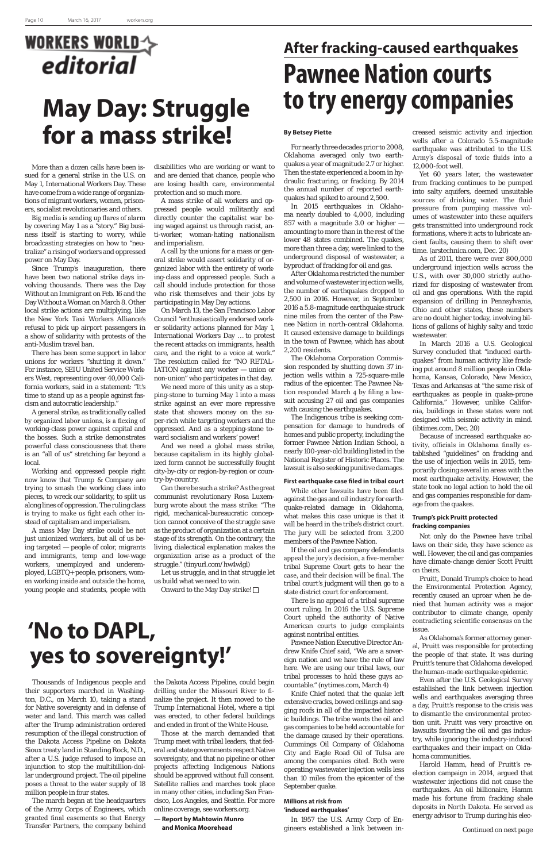# **WORKERS WORLDA** editorial

## **'No to DAPL, yes to sovereignty!'**

# **After fracking-caused earthquakes Pawnee Nation courts May Day: Struggle to try energy companies**

# **for a mass strike!**

More than a dozen calls have been issued for a general strike in the U.S. on May 1, International Workers Day. These have come from a wide range of organizations of migrant workers, women, prisoners, socialist revolutionaries and others.

Big media is sending up flares of alarm by covering May 1 as a "story." Big business itself is starting to worry, while broadcasting strategies on how to "neutralize" a rising of workers and oppressed power on May Day.

Since Trump's inauguration, there have been two national strike days involving thousands. There was the Day Without an Immigrant on Feb. 16 and the Day Without a Woman on March 8. Other local strike actions are multiplying, like the New York Taxi Workers Alliance's refusal to pick up airport passengers in a show of solidarity with protests of the anti-Muslim travel ban.

There has been some support in labor unions for workers "shutting it down." For instance, SEIU United Service Workers West, representing over 40,000 California workers, said in a statement: "It's time to stand up as a people against fascism and autocratic leadership."

A general strike, as traditionally called by organized labor unions, is a flexing of working-class power against capital and the bosses. Such a strike demonstrates powerful class consciousness that there is an "all of us" stretching far beyond a local.

Working and oppressed people right now know that Trump & Company are trying to smash the working class into pieces, to wreck our solidarity, to split us along lines of oppression. The ruling class is trying to make us fight each other instead of capitalism and imperialism.

A mass May Day strike could be not just unionized workers, but all of us being targeted — people of color, migrants and immigrants, temp and low-wage workers, unemployed and underemployed, LGBTQ+ people, prisoners, women working inside and outside the home, young people and students, people with

### disabilities who are working or want to and are denied that chance, people who are losing health care, environmental protection and so much more.

A mass strike of all workers and oppressed people would militantly and directly counter the capitalist war being waged against us through racist, anti-worker, woman-hating nationalism and imperialism.

A call by the unions for a mass or general strike would assert solidarity of organized labor with the entirety of working-class and oppressed people. Such a call should include protection for those who risk themselves and their jobs by participating in May Day actions.

On March 13, the San Francisco Labor Council "enthusiastically endorsed worker solidarity actions planned for May 1, International Workers Day … to protest the recent attacks on immigrants, health care, and the right to a voice at work." The resolution called for "NO RETAL-IATION against any worker — union or non-union" who participates in that day.

We need more of this unity as a stepping-stone to turning May 1 into a mass strike against an ever more repressive state that showers money on the super-rich while targeting workers and the oppressed. And as a stepping-stone toward socialism and workers' power!

And we need a global mass strike, because capitalism in its highly globalized form cannot be successfully fought city-by-city or region-by-region or country-by-country.

Can there be such a strike? As the great communist revolutionary Rosa Luxemburg wrote about the mass strike: "The rigid, mechanical-bureaucratic conception cannot conceive of the struggle save as the product of organization at a certain stage of its strength. On the contrary, the living, dialectical explanation makes the organization arise as a product of the struggle." (tinyurl.com/hw4wlgl)

Let us struggle, and in that struggle let us build what we need to win.

Onward to the May Day strike!  $\Box$ 

### **By Betsey Piette**

For nearly three decades prior to 2008, Oklahoma averaged only two earthquakes a year of magnitude 2.7 or higher. Then the state experienced a boom in hydraulic fracturing, or fracking. By 2014 the annual number of reported earthquakes had spiked to around 2,500.

In 2015 earthquakes in Oklahoma nearly doubled to 4,000, including 857 with a magnitude 3.0 or higher amounting to more than in the rest of the lower 48 states combined. The quakes, more than three a day, were linked to the underground disposal of wastewater, a byproduct of fracking for oil and gas.

After Oklahoma restricted the number and volume of wastewater injection wells, the number of earthquakes dropped to 2,500 in 2016. However, in September 2016 a 5.8-magnitude earthquake struck nine miles from the center of the Pawnee Nation in north-central Oklahoma. It caused extensive damage to buildings in the town of Pawnee, which has about 2,200 residents.

The Oklahoma Corporation Commission responded by shutting down 37 injection wells within a 725-square-mile radius of the epicenter. The Pawnee Nation responded March 4 by filing a lawsuit accusing 27 oil and gas companies with causing the earthquakes.

The Indigenous tribe is seeking compensation for damage to hundreds of homes and public property, including the former Pawnee Nation Indian School, a nearly 100-year-old building listed in the National Register of Historic Places. The lawsuit is also seeking punitive damages.

### **First earthquake case filed in tribal court**

While other lawsuits have been filed against the gas and oil industry for earthquake-related damage in Oklahoma, what makes this case unique is that it will be heard in the tribe's district court. The jury will be selected from 3,200 members of the Pawnee Nation.

If the oil and gas company defendants appeal the jury's decision, a five-member tribal Supreme Court gets to hear the case, and their decision will be final. The tribal court's judgment will then go to a state district court for enforcement.

There is no appeal of a tribal supreme court ruling. In 2016 the U.S. Supreme Court upheld the authority of Native American courts to judge complaints against nontribal entities. Pawnee Nation Executive Director Andrew Knife Chief said, "We are a sovereign nation and we have the rule of law here. We are using our tribal laws, our tribal processes to hold these guys accountable." (nytimes.com, March 4) Knife Chief noted that the quake left extensive cracks, bowed ceilings and sagging roofs in all of the impacted historic buildings. The tribe wants the oil and gas companies to be held accountable for the damage caused by their operations. Cummings Oil Company of Oklahoma City and Eagle Road Oil of Tulsa are among the companies cited. Both were operating wastewater injection wells less than 10 miles from the epicenter of the September quake.

### **Millions at risk from 'induced earthquakes'**

In 1957 the U.S. Army Corp of Engineers established a link between in-

creased seismic activity and injection wells after a Colorado 5.5-magnitude earthquake was attributed to the U.S. Army's disposal of toxic fluids into a 12,000-foot well.

Yet 60 years later, the wastewater from fracking continues to be pumped into salty aquifers, deemed unsuitable sources of drinking water. The fluid pressure from pumping massive volumes of wastewater into these aquifers gets transmitted into underground rock formations, where it acts to lubricate ancient faults, causing them to shift over time. (arstechnica.com, Dec. 20)

As of 2011, there were over 800,000 underground injection wells across the U.S., with over 30,000 strictly authorized for disposing of wastewater from oil and gas operations. With the rapid expansion of drilling in Pennsylvania, Ohio and other states, these numbers are no doubt higher today, involving billions of gallons of highly salty and toxic wastewater.

In March 2016 a U.S. Geological Survey concluded that "induced earthquakes" from human activity like fracking put around 8 million people in Oklahoma, Kansas, Colorado, New Mexico, Texas and Arkansas at "the same risk of earthquakes as people in quake-prone California." However, unlike California, buildings in these states were not designed with seismic activity in mind. (ibtimes.com, Dec. 20)

Because of increased earthquake activity, officials in Oklahoma finally established "guidelines" on fracking and the use of injection wells in 2015, temporarily closing several in areas with the most earthquake activity. However, the state took no legal action to hold the oil and gas companies responsible for damage from the quakes.

### **Trump's pick Pruitt protected fracking companies**

Not only do the Pawnee have tribal laws on their side, they have science as well. However, the oil and gas companies have climate-change denier Scott Pruitt on theirs.

Pruitt, Donald Trump's choice to head the Environmental Protection Agency, recently caused an uproar when he denied that human activity was a major contributor to climate change, openly contradicting scientific consensus on the issue.

As Oklahoma's former attorney general, Pruitt was responsible for protecting the people of that state. It was during Pruitt's tenure that Oklahoma developed the human-made earthquake epidemic.

Even after the U.S. Geological Survey established the link between injection wells and earthquakes averaging three a day, Pruitt's response to the crisis was to dismantle the environmental protection unit. Pruitt was very proactive on lawsuits favoring the oil and gas industry, while ignoring the industry-induced earthquakes and their impact on Oklahoma communities.

Harold Hamm, head of Pruitt's reelection campaign in 2014, argued that wastewater injections did not cause the earthquakes. An oil billionaire, Hamm made his fortune from fracking shale deposits in North Dakota. He served as energy advisor to Trump during his elec-

*Continued on next page*

Thousands of Indigenous people and their supporters marched in Washington, D.C., on March 10, taking a stand for Native sovereignty and in defense of water and land. This march was called after the Trump administration ordered resumption of the illegal construction of the Dakota Access Pipeline on Dakota Sioux treaty land in Standing Rock, N.D., after a U.S. judge refused to impose an injunction to stop the multibillion-dollar underground project. The oil pipeline poses a threat to the water supply of 18 million people in four states.

The march began at the headquarters of the Army Corps of Engineers, which granted final easements so that Energy Transfer Partners, the company behind

the Dakota Access Pipeline, could begin drilling under the Missouri River to finalize the project. It then moved to the Trump International Hotel, where a tipi was erected, to other federal buildings and ended in front of the White House.

Those at the march demanded that Trump meet with tribal leaders, that federal and state governments respect Native sovereignty, and that no pipeline or other projects affecting Indigenous Nations should be approved without full consent. Satellite rallies and marches took place in many other cities, including San Francisco, Los Angeles, and Seattle. For more online coverage, see workers.org.

**— Report by Mahtowin Munro and Monica Moorehead**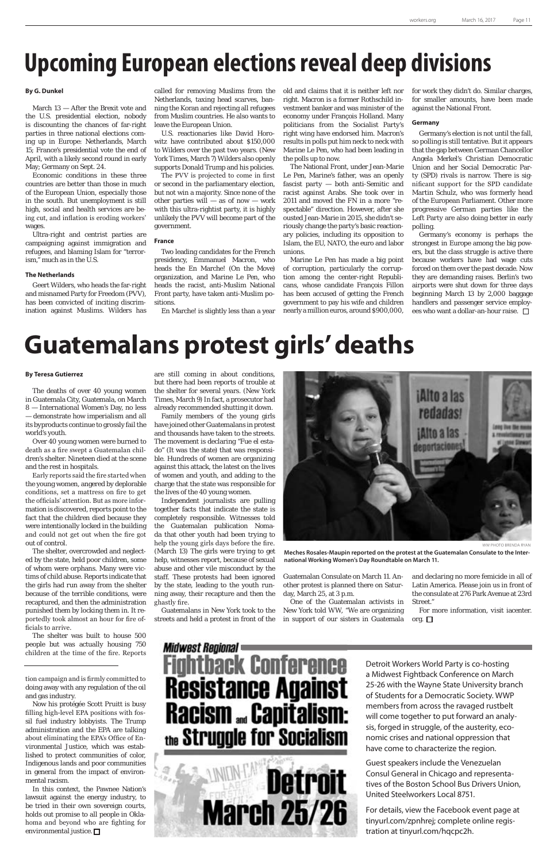# **Upcoming European elections reveal deep divisions**

### **By G. Dunkel**

March 13 — After the Brexit vote and the U.S. presidential election, nobody is discounting the chances of far-right parties in three national elections coming up in Europe: Netherlands, March 15; France's presidential vote the end of April, with a likely second round in early May; Germany on Sept. 24.

Economic conditions in these three countries are better than those in much of the European Union, especially those in the south. But unemployment is still high, social and health services are being cut, and inflation is eroding workers' wages.

Ultra-right and centrist parties are campaigning against immigration and refugees, and blaming Islam for "terrorism," much as in the U.S.

### **The Netherlands**

Geert Wilders, who heads the far-right and misnamed Party for Freedom (PVV), has been convicted of inciting discrimination against Muslims. Wilders has

called for removing Muslims from the Netherlands, taxing head scarves, banning the Koran and rejecting all refugees from Muslim countries. He also wants to leave the European Union.

U.S. reactionaries like David Horowitz have contributed about \$150,000 to Wilders over the past two years. (New York Times, March 7) Wilders also openly supports Donald Trump and his policies.

The PVV is projected to come in first or second in the parliamentary election, but not win a majority. Since none of the other parties will  $-$  as of now  $-$  work with this ultra-rightist party, it is highly unlikely the PVV will become part of the government.

### **France**

Two leading candidates for the French presidency, Emmanuel Macron, who heads the En Marche! (On the Move) organization, and Marine Le Pen, who heads the racist, anti-Muslim National Front party, have taken anti-Muslim positions.

Germany's economy is perhaps the strongest in Europe among the big powers, but the class struggle is active there because workers have had wage cuts forced on them over the past decade. Now they are demanding raises. Berlin's two airports were shut down for three days beginning March 13 by 2,000 baggage handlers and passenger service employees who want a dollar-an-hour raise. □

En Marche! is slightly less than a year

old and claims that it is neither left nor right. Macron is a former Rothschild investment banker and was minister of the economy under François Holland. Many politicians from the Socialist Party's right wing have endorsed him. Macron's results in polls put him neck to neck with Marine Le Pen, who had been leading in the polls up to now.

In this context, the Pawnee Nation's lawsuit against the energy industry, to be tried in their own sovereign courts, holds out promise to all people in Oklahoma and beyond who are fighting for environmental justice.  $\square$ 

### Midwest Regional = ck Conference **Resistance Against Racism ... Capitalism:** the Struggle for Socialism



The National Front, under Jean-Marie Le Pen, Marine's father, was an openly fascist party — both anti-Semitic and racist against Arabs. She took over in 2011 and moved the FN in a more "respectable" direction. However, after she ousted Jean-Marie in 2015, she didn't seriously change the party's basic reactionary policies, including its opposition to Islam, the EU, NATO, the euro and labor unions.

Marine Le Pen has made a big point of corruption, particularly the corruption among the center-right Republicans, whose candidate François Fillon has been accused of getting the French government to pay his wife and children nearly a million euros, around \$900,000,

for work they didn't do. Similar charges, for smaller amounts, have been made against the National Front.

### **Germany**

Germany's election is not until the fall, so polling is still tentative. But it appears that the gap between German Chancellor Angela Merkel's Christian Democratic Union and her Social Democratic Party (SPD) rivals is narrow. There is significant support for the SPD candidate Martin Schulz, who was formerly head of the European Parliament. Other more progressive German parties like the Left Party are also doing better in early polling.

and declaring no more femicide in all of Latin America. Please join us in front of the consulate at 276 Park Avenue at 23rd Street."

For more information, visit iacenter. org.  $\square$ 

tion campaign and is firmly committed to doing away with any regulation of the oil and gas industry.

Now his protégée Scott Pruitt is busy filling high-level EPA positions with fossil fuel industry lobbyists. The Trump administration and the EPA are talking about eliminating the EPA's Office of Environmental Justice, which was established to protect communities of color, Indigenous lands and poor communities in general from the impact of environmental racism.

#### **By Teresa Gutierrez**

The deaths of over 40 young women in Guatemala City, Guatemala, on March 8 — International Women's Day, no less — demonstrate how imperialism and all its byproducts continue to grossly fail the world's youth.

Over 40 young women were burned to death as a fire swept a Guatemalan children's shelter. Nineteen died at the scene and the rest in hospitals.

Early reports said the fire started when the young women, angered by deplorable conditions, set a mattress on fire to get the officials' attention. But as more information is discovered, reports point to the fact that the children died because they were intentionally locked in the building and could not get out when the fire got out of control.

The shelter, overcrowded and neglected by the state, held poor children, some of whom were orphans. Many were victims of child abuse. Reports indicate that the girls had run away from the shelter because of the terrible conditions, were recaptured, and then the administration punished them by locking them in. It reportedly took almost an hour for fire officials to arrive.

The shelter was built to house 500 people but was actually housing 750 children at the time of the fire. Reports

### **Guatemalans protest girls' deaths**

are still coming in about conditions, but there had been reports of trouble at the shelter for several years. (New York Times, March 9) In fact, a prosecutor had already recommended shutting it down.

Family members of the young girls have joined other Guatemalans in protest and thousands have taken to the streets. The movement is declaring "Fue el estado" (It was the state) that was responsible. Hundreds of women are organizing against this attack, the latest on the lives of women and youth, and adding to the charge that the state was responsible for the lives of the 40 young women.

Independent journalists are pulling together facts that indicate the state is completely responsible. Witnesses told the Guatemalan publication Nomada that other youth had been trying to help the young girls days before the fire. (March 13) The girls were trying to get help, witnesses report, because of sexual abuse and other vile misconduct by the staff. These protests had been ignored by the state, leading to the youth running away, their recapture and then the ghastly fire.

Guatemalans in New York took to the streets and held a protest in front of the

Guatemalan Consulate on March 11. Another protest is planned there on Saturday, March 25, at 3 p.m.

One of the Guatemalan activists in New York told WW, "We are organizing in support of our sisters in Guatemala



**Meches Rosales-Maupin reported on the protest at the Guatemalan Consulate to the International Working Women's Day Roundtable on March 11.**

Detroit Workers World Party is co-hosting a Midwest Fightback Conference on March 25-26 with the Wayne State University branch of Students for a Democratic Society. WWP members from across the ravaged rustbelt will come together to put forward an analysis, forged in struggle, of the austerity, economic crises and national oppression that have come to characterize the region.

Guest speakers include the Venezuelan Consul General in Chicago and representatives of the Boston School Bus Drivers Union, United Steelworkers Local 8751.

For details, view the Facebook event page at tinyurl.com/zpnhrej; complete online registration at tinyurl.com/hqcpc2h.